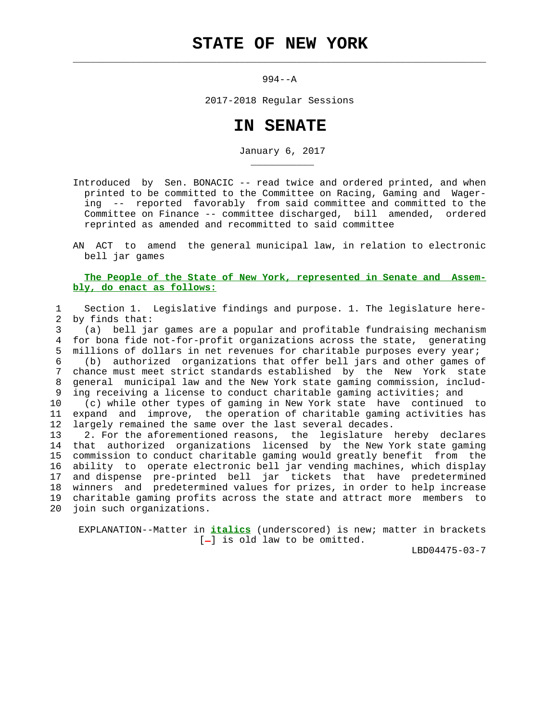994--A

 $\mathcal{L}_\text{max} = \frac{1}{2} \sum_{i=1}^{n} \frac{1}{2} \sum_{i=1}^{n} \frac{1}{2} \sum_{i=1}^{n} \frac{1}{2} \sum_{i=1}^{n} \frac{1}{2} \sum_{i=1}^{n} \frac{1}{2} \sum_{i=1}^{n} \frac{1}{2} \sum_{i=1}^{n} \frac{1}{2} \sum_{i=1}^{n} \frac{1}{2} \sum_{i=1}^{n} \frac{1}{2} \sum_{i=1}^{n} \frac{1}{2} \sum_{i=1}^{n} \frac{1}{2} \sum_{i=1}^{n} \frac{1$ 

\_\_\_\_\_\_\_\_\_\_\_

2017-2018 Regular Sessions

## **IN SENATE**

January 6, 2017

 Introduced by Sen. BONACIC -- read twice and ordered printed, and when printed to be committed to the Committee on Racing, Gaming and Wager ing -- reported favorably from said committee and committed to the Committee on Finance -- committee discharged, bill amended, ordered reprinted as amended and recommitted to said committee

 AN ACT to amend the general municipal law, in relation to electronic bell jar games

 **The People of the State of New York, represented in Senate and Assem bly, do enact as follows:**

 1 Section 1. Legislative findings and purpose. 1. The legislature here- 2 by finds that: 3 (a) bell jar games are a popular and profitable fundraising mechanism 4 for bona fide not-for-profit organizations across the state, generating 5 millions of dollars in net revenues for charitable purposes every year; 6 (b) authorized organizations that offer bell jars and other games of 7 chance must meet strict standards established by the New York state 8 general municipal law and the New York state gaming commission, includ- 9 ing receiving a license to conduct charitable gaming activities; and 10 (c) while other types of gaming in New York state have continued to 11 expand and improve, the operation of charitable gaming activities has 12 largely remained the same over the last several decades. 13 2. For the aforementioned reasons, the legislature hereby declares 14 that authorized organizations licensed by the New York state gaming 15 commission to conduct charitable gaming would greatly benefit from the 16 ability to operate electronic bell jar vending machines, which display 17 and dispense pre-printed bell jar tickets that have predetermined 18 winners and predetermined values for prizes, in order to help increase 19 charitable gaming profits across the state and attract more members to 20 join such organizations.

 EXPLANATION--Matter in **italics** (underscored) is new; matter in brackets  $[-]$  is old law to be omitted.

LBD04475-03-7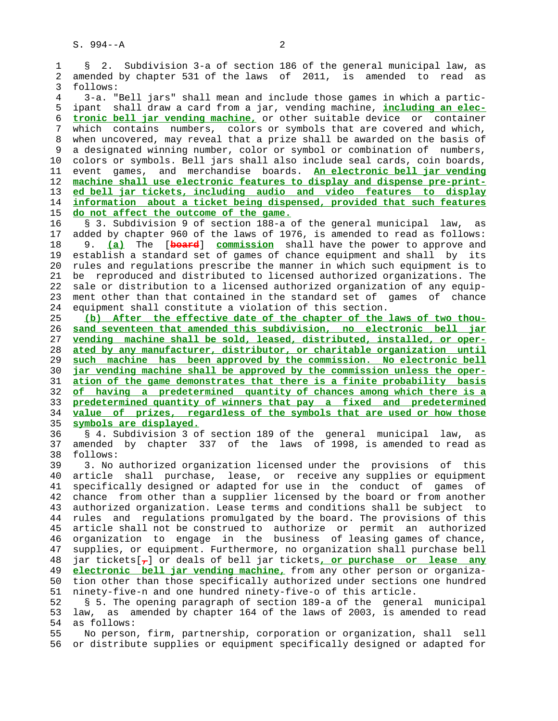1 § 2. Subdivision 3-a of section 186 of the general municipal law, as 2 amended by chapter 531 of the laws of 2011, is amended to read as 3 follows: 4 3-a. "Bell jars" shall mean and include those games in which a partic- 5 ipant shall draw a card from a jar, vending machine, **including an elec-** 6 **tronic bell jar vending machine,** or other suitable device or container 7 which contains numbers, colors or symbols that are covered and which, 8 when uncovered, may reveal that a prize shall be awarded on the basis of 9 a designated winning number, color or symbol or combination of numbers, 10 colors or symbols. Bell jars shall also include seal cards, coin boards, 11 event games, and merchandise boards. **An electronic bell jar vending** 12 **machine shall use electronic features to display and dispense pre-print-** 13 **ed bell jar tickets, including audio and video features to display** 14 **information about a ticket being dispensed, provided that such features** 15 **do not affect the outcome of the game.** 16 § 3. Subdivision 9 of section 188-a of the general municipal law, as 17 added by chapter 960 of the laws of 1976, is amended to read as follows: 18 9. **(a)** The [**board**] **commission** shall have the power to approve and 19 establish a standard set of games of chance equipment and shall by its 20 rules and regulations prescribe the manner in which such equipment is to 21 be reproduced and distributed to licensed authorized organizations. The 22 sale or distribution to a licensed authorized organization of any equip- 23 ment other than that contained in the standard set of games of chance 24 equipment shall constitute a violation of this section. 25 **(b) After the effective date of the chapter of the laws of two thou-** 26 **sand seventeen that amended this subdivision, no electronic bell jar** 27 **vending machine shall be sold, leased, distributed, installed, or oper-** 28 **ated by any manufacturer, distributor, or charitable organization until** 29 **such machine has been approved by the commission. No electronic bell** 30 **jar vending machine shall be approved by the commission unless the oper-** 31 **ation of the game demonstrates that there is a finite probability basis** 32 **of having a predetermined quantity of chances among which there is a** 33 **predetermined quantity of winners that pay a fixed and predetermined** 34 **value of prizes, regardless of the symbols that are used or how those** 35 **symbols are displayed.** 36 § 4. Subdivision 3 of section 189 of the general municipal law, as 37 amended by chapter 337 of the laws of 1998, is amended to read as 38 follows: 39 3. No authorized organization licensed under the provisions of this 40 article shall purchase, lease, or receive any supplies or equipment 41 specifically designed or adapted for use in the conduct of games of 42 chance from other than a supplier licensed by the board or from another 43 authorized organization. Lease terms and conditions shall be subject to 44 rules and regulations promulgated by the board. The provisions of this 45 article shall not be construed to authorize or permit an authorized 46 organization to engage in the business of leasing games of chance, 47 supplies, or equipment. Furthermore, no organization shall purchase bell 48 jar tickets[**,**] or deals of bell jar tickets**, or purchase or lease any** 49 **electronic bell jar vending machine,** from any other person or organiza- 50 tion other than those specifically authorized under sections one hundred 51 ninety-five-n and one hundred ninety-five-o of this article. 52 § 5. The opening paragraph of section 189-a of the general municipal 53 law, as amended by chapter 164 of the laws of 2003, is amended to read 54 as follows:

 55 No person, firm, partnership, corporation or organization, shall sell 56 or distribute supplies or equipment specifically designed or adapted for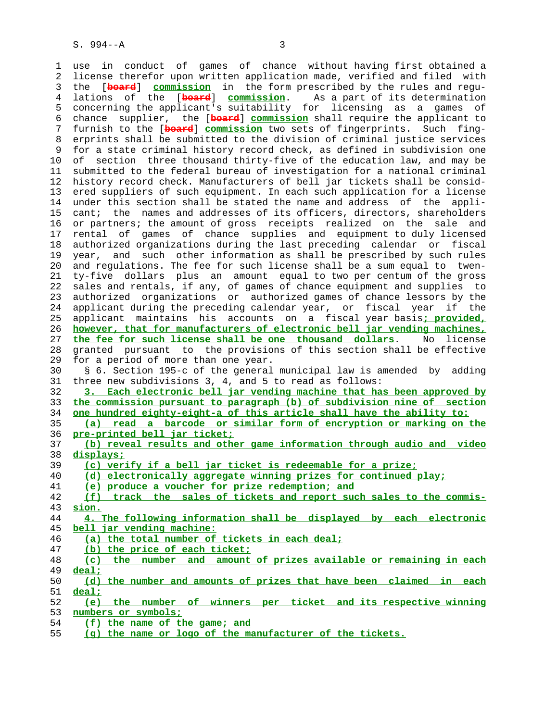1 use in conduct of games of chance without having first obtained a 2 license therefor upon written application made, verified and filed with 3 the [**board**] **commission** in the form prescribed by the rules and regu- 4 lations of the [**board**] **commission**. As a part of its determination 5 concerning the applicant's suitability for licensing as a games of 6 chance supplier, the [**board**] **commission** shall require the applicant to 7 furnish to the [**board**] **commission** two sets of fingerprints. Such fing- 8 erprints shall be submitted to the division of criminal justice services 9 for a state criminal history record check, as defined in subdivision one 10 of section three thousand thirty-five of the education law, and may be 11 submitted to the federal bureau of investigation for a national criminal 12 history record check. Manufacturers of bell jar tickets shall be consid- 13 ered suppliers of such equipment. In each such application for a license 14 under this section shall be stated the name and address of the appli- 15 cant; the names and addresses of its officers, directors, shareholders 16 or partners; the amount of gross receipts realized on the sale and 17 rental of games of chance supplies and equipment to duly licensed 18 authorized organizations during the last preceding calendar or fiscal 19 year, and such other information as shall be prescribed by such rules 20 and regulations. The fee for such license shall be a sum equal to twen- 21 ty-five dollars plus an amount equal to two per centum of the gross 22 sales and rentals, if any, of games of chance equipment and supplies to 23 authorized organizations or authorized games of chance lessors by the 24 applicant during the preceding calendar year, or fiscal year if the 25 applicant maintains his accounts on a fiscal year basis**; provided,** 26 **however, that for manufacturers of electronic bell jar vending machines,** 27 **the fee for such license shall be one thousand dollars**. No license 28 granted pursuant to the provisions of this section shall be effective 29 for a period of more than one year. 30 § 6. Section 195-c of the general municipal law is amended by adding 31 three new subdivisions 3, 4, and 5 to read as follows: 32 **3. Each electronic bell jar vending machine that has been approved by** 33 **the commission pursuant to paragraph (b) of subdivision nine of section** 34 **one hundred eighty-eight-a of this article shall have the ability to:** 35 **(a) read a barcode or similar form of encryption or marking on the** 36 **pre-printed bell jar ticket;** 37 **(b) reveal results and other game information through audio and video** 38 **displays;** 39 **(c) verify if a bell jar ticket is redeemable for a prize;** 40 **(d) electronically aggregate winning prizes for continued play;** 41 **(e) produce a voucher for prize redemption; and** 42 **(f) track the sales of tickets and report such sales to the commis-** 43 **sion.** 44 **4. The following information shall be displayed by each electronic** 45 **bell jar vending machine:** 46 **(a) the total number of tickets in each deal;** 47 **(b) the price of each ticket;** 48 **(c) the number and amount of prizes available or remaining in each** 49 **deal;** 50 **(d) the number and amounts of prizes that have been claimed in each** 51 **deal;** 52 **(e) the number of winners per ticket and its respective winning** 53 **numbers or symbols;**

55 **(g) the name or logo of the manufacturer of the tickets.**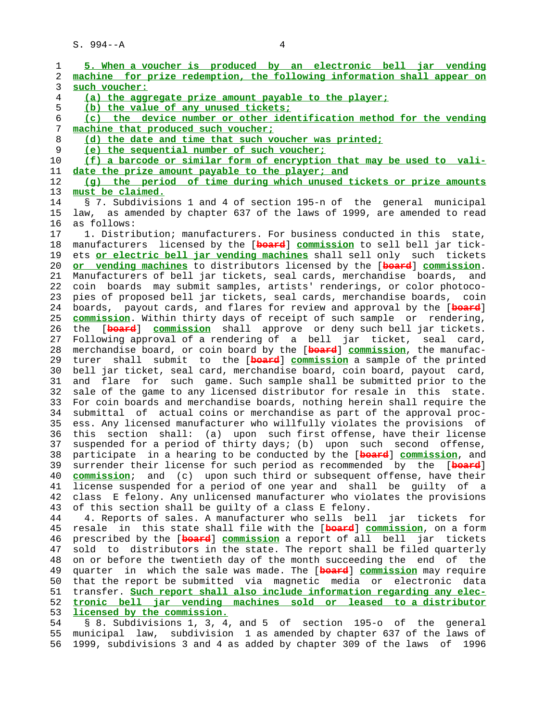$S. 994 - A$  4

1 **5. When a voucher is produced by an electronic bell jar vending**

 2 **machine for prize redemption, the following information shall appear on** 3 **such voucher:** 4 **(a) the aggregate prize amount payable to the player;** 5 **(b) the value of any unused tickets;** 6 **(c) the device number or other identification method for the vending** 7 **machine that produced such voucher;** 8 **(d) the date and time that such voucher was printed;** 9 **(e) the sequential number of such voucher;** 10 **(f) a barcode or similar form of encryption that may be used to vali-** 11 **date the prize amount payable to the player; and** 12 **(g) the period of time during which unused tickets or prize amounts** 13 **must be claimed.** 14 § 7. Subdivisions 1 and 4 of section 195-n of the general municipal 15 law, as amended by chapter 637 of the laws of 1999, are amended to read 16 as follows: 17 1. Distribution; manufacturers. For business conducted in this state, 18 manufacturers licensed by the [**board**] **commission** to sell bell jar tick- 19 ets **or electric bell jar vending machines** shall sell only such tickets 20 **or vending machines** to distributors licensed by the [**board**] **commission**. 21 Manufacturers of bell jar tickets, seal cards, merchandise boards, and 22 coin boards may submit samples, artists' renderings, or color photoco- 23 pies of proposed bell jar tickets, seal cards, merchandise boards, coin 24 boards, payout cards, and flares for review and approval by the [**board**] 25 **commission**. Within thirty days of receipt of such sample or rendering, 26 the [**board**] **commission** shall approve or deny such bell jar tickets. 27 Following approval of a rendering of a bell jar ticket, seal card, 28 merchandise board, or coin board by the [**board**] **commission**, the manufac- 29 turer shall submit to the [**board**] **commission** a sample of the printed 30 bell jar ticket, seal card, merchandise board, coin board, payout card, 31 and flare for such game. Such sample shall be submitted prior to the 32 sale of the game to any licensed distributor for resale in this state. 33 For coin boards and merchandise boards, nothing herein shall require the 34 submittal of actual coins or merchandise as part of the approval proc- 35 ess. Any licensed manufacturer who willfully violates the provisions of 36 this section shall: (a) upon such first offense, have their license 37 suspended for a period of thirty days; (b) upon such second offense, 38 participate in a hearing to be conducted by the [**board**] **commission**, and 39 surrender their license for such period as recommended by the [**board**] 40 **commission**; and (c) upon such third or subsequent offense, have their 41 license suspended for a period of one year and shall be guilty of a 42 class E felony. Any unlicensed manufacturer who violates the provisions 43 of this section shall be guilty of a class E felony. 44 4. Reports of sales. A manufacturer who sells bell jar tickets for 45 resale in this state shall file with the [**board**] **commission**, on a form 46 prescribed by the [**board**] **commission** a report of all bell jar tickets 47 sold to distributors in the state. The report shall be filed quarterly 48 on or before the twentieth day of the month succeeding the end of the 49 quarter in which the sale was made. The [**board**] **commission** may require 50 that the report be submitted via magnetic media or electronic data 51 transfer. **Such report shall also include information regarding any elec-** 52 **tronic bell jar vending machines sold or leased to a distributor** 53 **licensed by the commission.** 54 § 8. Subdivisions 1, 3, 4, and 5 of section 195-o of the general

 55 municipal law, subdivision 1 as amended by chapter 637 of the laws of 56 1999, subdivisions 3 and 4 as added by chapter 309 of the laws of 1996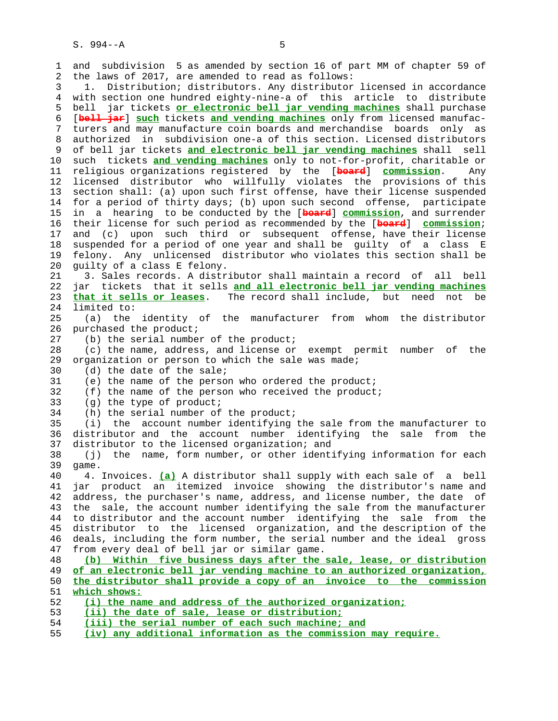1 and subdivision 5 as amended by section 16 of part MM of chapter 59 of 2 the laws of 2017, are amended to read as follows: 3 1. Distribution; distributors. Any distributor licensed in accordance 4 with section one hundred eighty-nine-a of this article to distribute 5 bell jar tickets **or electronic bell jar vending machines** shall purchase 6 [**bell jar**] **such** tickets **and vending machines** only from licensed manufac- 7 turers and may manufacture coin boards and merchandise boards only as 8 authorized in subdivision one-a of this section. Licensed distributors<br>9 of bell jar tickets and electronic bell jar vending machines shall sell 9 of bell jar tickets **and electronic bell jar vending machines** shall sell 10 such tickets **and vending machines** only to not-for-profit, charitable or 11 religious organizations registered by the [**board**] **commission**. Any 12 licensed distributor who willfully violates the provisions of this 13 section shall: (a) upon such first offense, have their license suspended 14 for a period of thirty days; (b) upon such second offense, participate 15 in a hearing to be conducted by the [**board**] **commission**, and surrender 16 their license for such period as recommended by the [**board**] **commission**; 17 and (c) upon such third or subsequent offense, have their license 18 suspended for a period of one year and shall be guilty of a class E 19 felony. Any unlicensed distributor who violates this section shall be 20 guilty of a class E felony. 21 3. Sales records. A distributor shall maintain a record of all bell 22 jar tickets that it sells **and all electronic bell jar vending machines** 23 **that it sells or leases**. The record shall include, but need not be 24 limited to: 25 (a) the identity of the manufacturer from whom the distributor 26 purchased the product; 27 (b) the serial number of the product; 28 (c) the name, address, and license or exempt permit number of the 29 organization or person to which the sale was made; 30 (d) the date of the sale; 31 (e) the name of the person who ordered the product; 32 (f) the name of the person who received the product; 33 (g) the type of product; 34 (h) the serial number of the product; 35 (i) the account number identifying the sale from the manufacturer to 36 distributor and the account number identifying the sale from the 37 distributor to the licensed organization; and 38 (j) the name, form number, or other identifying information for each 39 game. 40 4. Invoices. **(a)** A distributor shall supply with each sale of a bell 41 jar product an itemized invoice showing the distributor's name and 42 address, the purchaser's name, address, and license number, the date of 43 the sale, the account number identifying the sale from the manufacturer 44 to distributor and the account number identifying the sale from the 45 distributor to the licensed organization, and the description of the 46 deals, including the form number, the serial number and the ideal gross 47 from every deal of bell jar or similar game. 48 **(b) Within five business days after the sale, lease, or distribution** 49 **of an electronic bell jar vending machine to an authorized organization,** 50 **the distributor shall provide a copy of an invoice to the commission** 51 **which shows:** 52 **(i) the name and address of the authorized organization;** 53 **(ii) the date of sale, lease or distribution;** 54 **(iii) the serial number of each such machine; and**

55 **(iv) any additional information as the commission may require.**